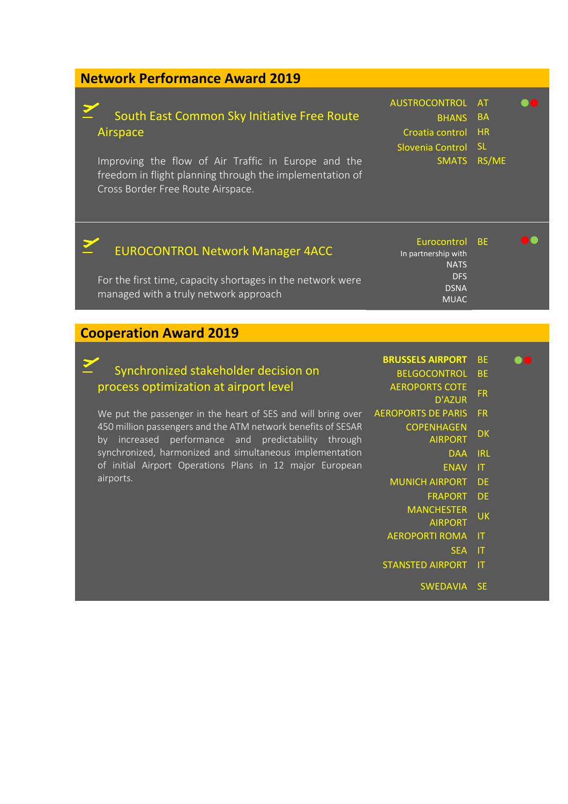### **Network Performance Award 2019**

Σ

Z

### South East Common Sky Initiative Free Route Airspace

Improving the flow of Air Traffic in Europe and the freedom in flight planning through the implementation of Cross Border Free Route Airspace.

| AUSTROCONTROL AT<br><b>BHANS BA</b><br>Croatia control HR |
|-----------------------------------------------------------|

Slovenia Control SL

## SMATS RS/ME

#### Z EUROCONTROL Network Manager 4ACC

For the first time, capacity shortages in the network were managed with a truly network approach

Eurocontrol BE **OO** In partnership with **NATS** DFS DSNA MUAC

#### **Cooperation Award 2019**

### Synchronized stakeholder decision on process optimization at airport level

We put the passenger in the heart of SES and will bring over 450 million passengers and the ATM network benefits of SESAR by increased performance and predictability through synchronized, harmonized and simultaneous implementation of initial Airport Operations Plans in 12 major European airports.

| <b>BRUSSELS AIRPORT BE</b> | $\bullet\bullet$ |
|----------------------------|------------------|
|----------------------------|------------------|

- BELGOCONTROL BE
- AEROPORTS COTE D'AZUR<sup>FR</sup>
	-
- AEROPORTS DE PARIS FR
	- **COPENHAGEN NORT DK**<br>AIRPORT
		- DAA IRL
			-
		- ENAV IT
	- MUNICH AIRPORT DE
		- FRAPORT DE
		- **MANCHESTER AIRPORT** UK
			-
	- AEROPORTI ROMA IT
		- SEA IT
	- STANSTED AIRPORT IT
		- SWEDAVIA SE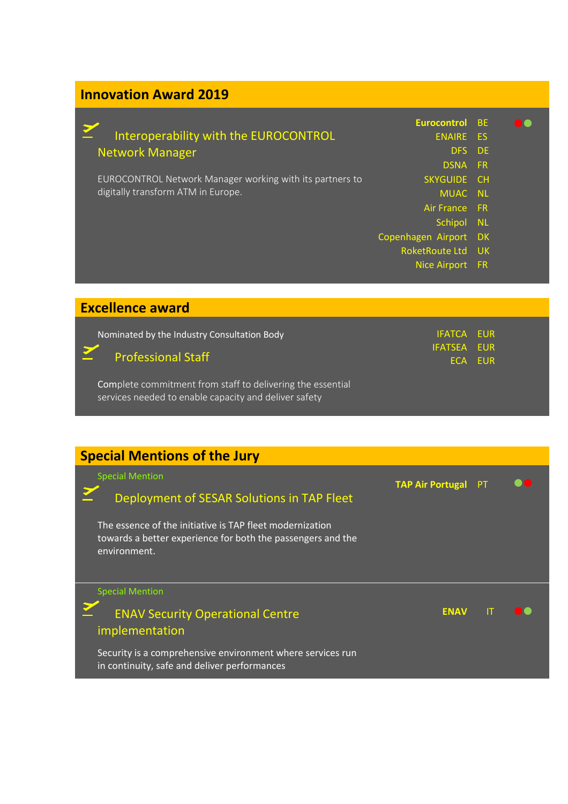# **Innovation Award 2019**

**Excellence award**

|                                                          | <b>Eurocontrol</b> BE      |           |  |
|----------------------------------------------------------|----------------------------|-----------|--|
| Interoperability with the EUROCONTROL                    | <b>ENAIRE ES</b><br>DFS DE |           |  |
| <b>Network Manager</b>                                   | <b>DSNA</b>                | <b>FR</b> |  |
| EUROCONTROL Network Manager working with its partners to | SKYGUIDE CH                |           |  |
| digitally transform ATM in Europe.                       | MUAC NL                    |           |  |
|                                                          | Air France FR              |           |  |
|                                                          | Schipol NL                 |           |  |
|                                                          | Copenhagen Airport DK      |           |  |
|                                                          | RoketRoute Ltd UK          |           |  |
|                                                          | Nice Airport FR            |           |  |
|                                                          |                            |           |  |

| Nominated by the Industry Consultation Body<br>Professional Staff                                                   | <b>IFATCA EUR</b><br><b>IFATSEA EUR</b> | ECA EUR |
|---------------------------------------------------------------------------------------------------------------------|-----------------------------------------|---------|
| Complete commitment from staff to delivering the essential<br>services needed to enable capacity and deliver safety |                                         |         |

# **Special Mentions of the Jury**

| <b>Special Mention</b><br>IT<br><b>ENAV Security Operational Centre</b><br><b>ENAV</b><br>implementation<br>Security is a comprehensive environment where services run | <b>Special Mention</b><br>Deployment of SESAR Solutions in TAP Fleet<br>The essence of the initiative is TAP fleet modernization<br>towards a better experience for both the passengers and the<br>environment. | <b>TAP Air Portugal</b> | PT |  |
|------------------------------------------------------------------------------------------------------------------------------------------------------------------------|-----------------------------------------------------------------------------------------------------------------------------------------------------------------------------------------------------------------|-------------------------|----|--|
|                                                                                                                                                                        |                                                                                                                                                                                                                 |                         |    |  |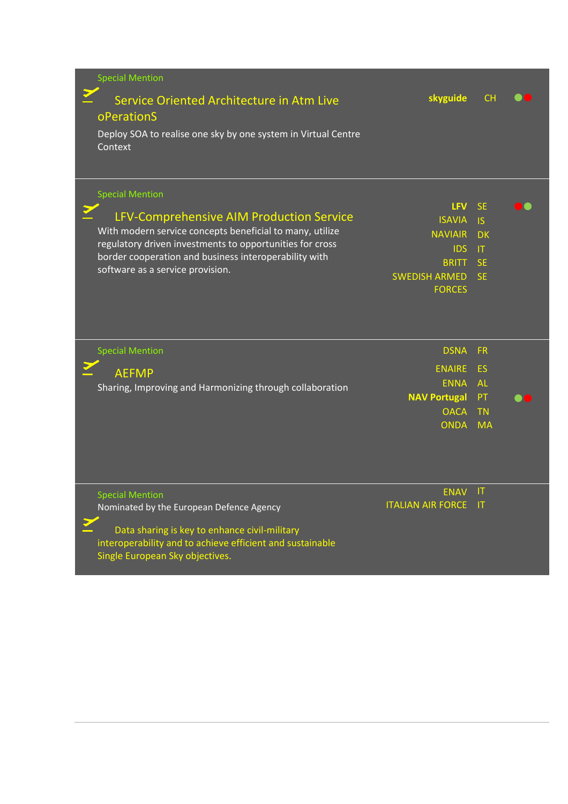| <b>Special Mention</b>                                                   |                             |                 |  |
|--------------------------------------------------------------------------|-----------------------------|-----------------|--|
| Service Oriented Architecture in Atm Live<br>oPerationS                  | skyguide                    | <b>CH</b>       |  |
| Deploy SOA to realise one sky by one system in Virtual Centre<br>Context |                             |                 |  |
| <b>Special Mention</b>                                                   |                             |                 |  |
| LFV-Comprehensive AIM Production Service                                 | <b>LFV</b>                  | <b>SE</b>       |  |
| With modern service concepts beneficial to many, utilize                 | <b>ISAVIA</b>               | <b>IS</b>       |  |
| regulatory driven investments to opportunities for cross                 | <b>NAVIAIR</b><br>IDS       | <b>DK</b><br> T |  |
| border cooperation and business interoperability with                    | <b>BRITT</b>                | <b>SE</b>       |  |
| software as a service provision.                                         | <b>SWEDISH ARMED</b>        | <b>SE</b>       |  |
|                                                                          | <b>FORCES</b>               |                 |  |
|                                                                          |                             |                 |  |
| <b>Special Mention</b>                                                   | <b>DSNA</b>                 | <b>FR</b>       |  |
| <b>AEFMP</b>                                                             | <b>ENAIRE</b>               | ES              |  |
| Sharing, Improving and Harmonizing through collaboration                 | <b>ENNA</b>                 | <b>AL</b>       |  |
|                                                                          | <b>NAV Portugal</b>         | PT              |  |
|                                                                          | <b>OACA</b>                 | <b>TN</b>       |  |
|                                                                          | <b>ONDA</b>                 | <b>MA</b>       |  |
|                                                                          |                             |                 |  |
| <b>Special Mention</b>                                                   | <b>ENAV</b>                 | -IT             |  |
| Nominated by the European Defence Agency                                 | <b>ITALIAN AIR FORCE IT</b> |                 |  |
| Data sharing is key to enhance civil-military                            |                             |                 |  |
| interoperability and to achieve efficient and sustainable                |                             |                 |  |
| Single European Sky objectives.                                          |                             |                 |  |
|                                                                          |                             |                 |  |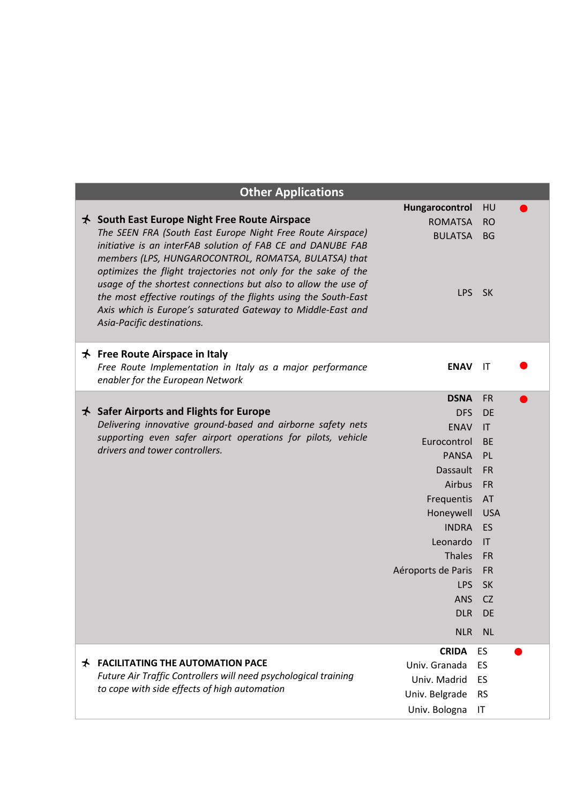|   | <b>Other Applications</b>                                                                                                                                                                                                                                                                                                                                                                                                                                                                                                                    |                                                                 |                                           |  |
|---|----------------------------------------------------------------------------------------------------------------------------------------------------------------------------------------------------------------------------------------------------------------------------------------------------------------------------------------------------------------------------------------------------------------------------------------------------------------------------------------------------------------------------------------------|-----------------------------------------------------------------|-------------------------------------------|--|
|   | $\star$ South East Europe Night Free Route Airspace<br>The SEEN FRA (South East Europe Night Free Route Airspace)<br>initiative is an interFAB solution of FAB CE and DANUBE FAB<br>members (LPS, HUNGAROCONTROL, ROMATSA, BULATSA) that<br>optimizes the flight trajectories not only for the sake of the<br>usage of the shortest connections but also to allow the use of<br>the most effective routings of the flights using the South-East<br>Axis which is Europe's saturated Gateway to Middle-East and<br>Asia-Pacific destinations. | Hungarocontrol<br><b>ROMATSA</b><br><b>BULATSA</b><br>LPS       | HU<br><b>RO</b><br><b>BG</b><br><b>SK</b> |  |
|   | $\star$ Free Route Airspace in Italy<br>Free Route Implementation in Italy as a major performance<br>enabler for the European Network                                                                                                                                                                                                                                                                                                                                                                                                        | <b>ENAV</b>                                                     | IT                                        |  |
|   |                                                                                                                                                                                                                                                                                                                                                                                                                                                                                                                                              | <b>DSNA</b>                                                     | <b>FR</b>                                 |  |
|   | $\star$ Safer Airports and Flights for Europe                                                                                                                                                                                                                                                                                                                                                                                                                                                                                                | <b>DFS</b>                                                      | <b>DE</b>                                 |  |
|   | Delivering innovative ground-based and airborne safety nets                                                                                                                                                                                                                                                                                                                                                                                                                                                                                  | <b>ENAV</b>                                                     | $\mathsf{I}\mathsf{T}$                    |  |
|   | supporting even safer airport operations for pilots, vehicle<br>drivers and tower controllers.                                                                                                                                                                                                                                                                                                                                                                                                                                               | Eurocontrol                                                     | <b>BE</b>                                 |  |
|   |                                                                                                                                                                                                                                                                                                                                                                                                                                                                                                                                              | <b>PANSA</b>                                                    | PL                                        |  |
|   |                                                                                                                                                                                                                                                                                                                                                                                                                                                                                                                                              | Dassault                                                        | <b>FR</b>                                 |  |
|   |                                                                                                                                                                                                                                                                                                                                                                                                                                                                                                                                              | Airbus                                                          | <b>FR</b>                                 |  |
|   |                                                                                                                                                                                                                                                                                                                                                                                                                                                                                                                                              | Frequentis                                                      | AT                                        |  |
|   |                                                                                                                                                                                                                                                                                                                                                                                                                                                                                                                                              | Honeywell                                                       | <b>USA</b>                                |  |
|   |                                                                                                                                                                                                                                                                                                                                                                                                                                                                                                                                              | <b>INDRA</b>                                                    | ES                                        |  |
|   |                                                                                                                                                                                                                                                                                                                                                                                                                                                                                                                                              | Leonardo                                                        | IT                                        |  |
|   |                                                                                                                                                                                                                                                                                                                                                                                                                                                                                                                                              | Thales                                                          | <b>FR</b>                                 |  |
|   |                                                                                                                                                                                                                                                                                                                                                                                                                                                                                                                                              | Aéroports de Paris<br><b>LPS</b>                                | <b>FR</b><br><b>SK</b>                    |  |
|   |                                                                                                                                                                                                                                                                                                                                                                                                                                                                                                                                              | <b>ANS</b>                                                      | <b>CZ</b>                                 |  |
|   |                                                                                                                                                                                                                                                                                                                                                                                                                                                                                                                                              | <b>DLR</b>                                                      | DE                                        |  |
|   |                                                                                                                                                                                                                                                                                                                                                                                                                                                                                                                                              |                                                                 |                                           |  |
|   |                                                                                                                                                                                                                                                                                                                                                                                                                                                                                                                                              | <b>NLR</b>                                                      | <b>NL</b>                                 |  |
| ★ | <b>FACILITATING THE AUTOMATION PACE</b><br>Future Air Traffic Controllers will need psychological training<br>to cope with side effects of high automation                                                                                                                                                                                                                                                                                                                                                                                   | <b>CRIDA</b><br>Univ. Granada<br>Univ. Madrid<br>Univ. Belgrade | ES<br>ES<br>ES<br><b>RS</b>               |  |
|   |                                                                                                                                                                                                                                                                                                                                                                                                                                                                                                                                              | Univ. Bologna                                                   | IT                                        |  |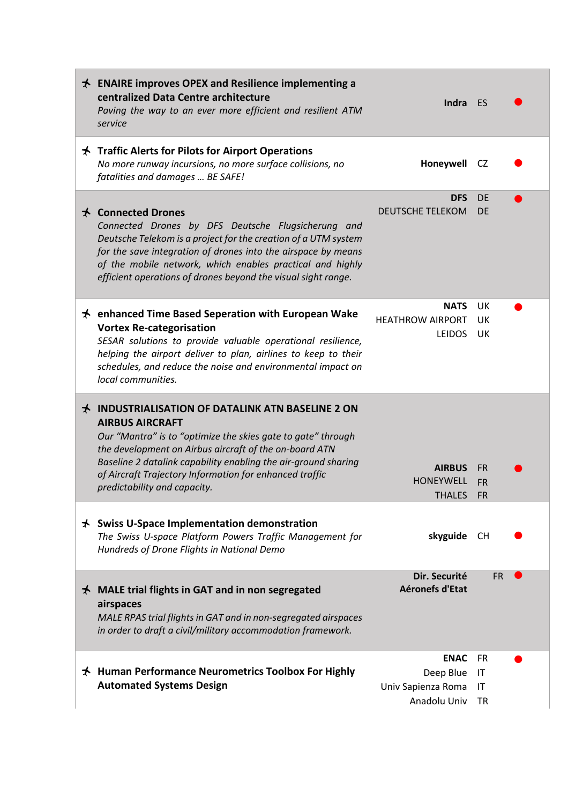| $\star$ ENAIRE improves OPEX and Resilience implementing a<br>centralized Data Centre architecture<br>Paving the way to an ever more efficient and resilient ATM<br>service                                                                                                                                                                                               | Indra ES                                                       |                                     |  |
|---------------------------------------------------------------------------------------------------------------------------------------------------------------------------------------------------------------------------------------------------------------------------------------------------------------------------------------------------------------------------|----------------------------------------------------------------|-------------------------------------|--|
| $\star$ Traffic Alerts for Pilots for Airport Operations<br>No more runway incursions, no more surface collisions, no<br>fatalities and damages  BE SAFE!                                                                                                                                                                                                                 | Honeywell                                                      | CZ.                                 |  |
| <b>★ Connected Drones</b><br>Connected Drones by DFS Deutsche Flugsicherung and<br>Deutsche Telekom is a project for the creation of a UTM system<br>for the save integration of drones into the airspace by means<br>of the mobile network, which enables practical and highly<br>efficient operations of drones beyond the visual sight range.                          | <b>DFS</b><br><b>DEUTSCHE TELEKOM</b>                          | DE<br><b>DE</b>                     |  |
| $\star$ enhanced Time Based Seperation with European Wake<br><b>Vortex Re-categorisation</b><br>SESAR solutions to provide valuable operational resilience,<br>helping the airport deliver to plan, airlines to keep to their<br>schedules, and reduce the noise and environmental impact on<br>local communities.                                                        | <b>NATS</b><br><b>HEATHROW AIRPORT</b><br><b>LEIDOS</b>        | UK.<br>UK.<br>UK.                   |  |
| <b>★ INDUSTRIALISATION OF DATALINK ATN BASELINE 2 ON</b><br><b>AIRBUS AIRCRAFT</b><br>Our "Mantra" is to "optimize the skies gate to gate" through<br>the development on Airbus aircraft of the on-board ATN<br>Baseline 2 datalink capability enabling the air-ground sharing<br>of Aircraft Trajectory Information for enhanced traffic<br>predictability and capacity. | <b>AIRBUS</b><br><b>HONEYWELL</b><br><b>THALES</b>             | <b>FR</b><br><b>FR</b><br><b>FR</b> |  |
| $\star$ Swiss U-Space Implementation demonstration<br>The Swiss U-space Platform Powers Traffic Management for<br>Hundreds of Drone Flights in National Demo                                                                                                                                                                                                              | skyguide                                                       | <b>CH</b>                           |  |
| $\star$ MALE trial flights in GAT and in non segregated<br>airspaces<br>MALE RPAS trial flights in GAT and in non-segregated airspaces<br>in order to draft a civil/military accommodation framework.                                                                                                                                                                     | Dir. Securité<br>Aéronefs d'Etat                               | <b>FR</b>                           |  |
| $\star$ Human Performance Neurometrics Toolbox For Highly<br><b>Automated Systems Design</b>                                                                                                                                                                                                                                                                              | <b>ENAC</b><br>Deep Blue<br>Univ Sapienza Roma<br>Anadolu Univ | <b>FR</b><br>IT<br>IT<br>TR         |  |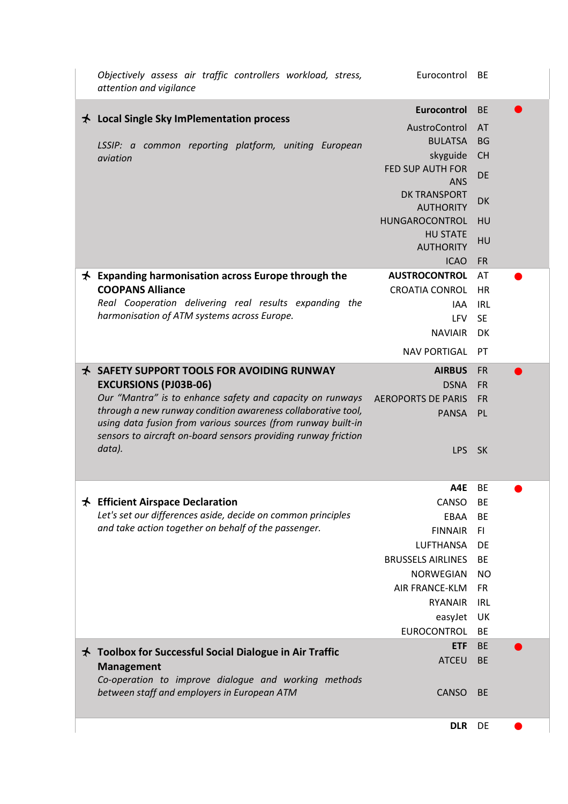|   | Objectively assess air traffic controllers workload, stress,<br>attention and vigilance                                                                                                        | Eurocontrol BE                                        |                              |  |
|---|------------------------------------------------------------------------------------------------------------------------------------------------------------------------------------------------|-------------------------------------------------------|------------------------------|--|
|   | $\star$ Local Single Sky ImPlementation process<br>LSSIP: a common reporting platform, uniting European                                                                                        | <b>Eurocontrol</b><br>AustroControl<br><b>BULATSA</b> | <b>BE</b><br>AT<br><b>BG</b> |  |
|   | aviation                                                                                                                                                                                       | skyguide<br><b>FED SUP AUTH FOR</b><br><b>ANS</b>     | <b>CH</b><br>DE              |  |
|   |                                                                                                                                                                                                | <b>DK TRANSPORT</b><br><b>AUTHORITY</b>               | DK                           |  |
|   |                                                                                                                                                                                                | HUNGAROCONTROL<br><b>HU STATE</b>                     | HU<br>HU                     |  |
|   |                                                                                                                                                                                                | <b>AUTHORITY</b><br><b>ICAO</b>                       | <b>FR</b>                    |  |
| ★ | <b>Expanding harmonisation across Europe through the</b>                                                                                                                                       | <b>AUSTROCONTROL</b>                                  | AT                           |  |
|   | <b>COOPANS Alliance</b>                                                                                                                                                                        | <b>CROATIA CONROL</b>                                 | <b>HR</b>                    |  |
|   | Real Cooperation delivering real results expanding the                                                                                                                                         | IAA                                                   | <b>IRL</b>                   |  |
|   | harmonisation of ATM systems across Europe.                                                                                                                                                    | <b>LFV</b>                                            | <b>SE</b>                    |  |
|   |                                                                                                                                                                                                | <b>NAVIAIR</b>                                        | DK                           |  |
|   |                                                                                                                                                                                                | <b>NAV PORTIGAL</b>                                   | <b>PT</b>                    |  |
|   | <b>★ SAFETY SUPPORT TOOLS FOR AVOIDING RUNWAY</b>                                                                                                                                              | <b>AIRBUS</b>                                         | <b>FR</b>                    |  |
|   | <b>EXCURSIONS (PJ03B-06)</b>                                                                                                                                                                   | <b>DSNA</b>                                           | <b>FR</b>                    |  |
|   | Our "Mantra" is to enhance safety and capacity on runways                                                                                                                                      | <b>AEROPORTS DE PARIS</b>                             | <b>FR</b>                    |  |
|   | through a new runway condition awareness collaborative tool,<br>using data fusion from various sources (from runway built-in<br>sensors to aircraft on-board sensors providing runway friction | PANSA PL                                              |                              |  |
|   | data).                                                                                                                                                                                         | LPS SK                                                |                              |  |
|   |                                                                                                                                                                                                | A4E                                                   | BE                           |  |
|   | $\star$ Efficient Airspace Declaration                                                                                                                                                         | CANSO                                                 | BE                           |  |
|   | Let's set our differences aside, decide on common principles                                                                                                                                   | EBAA                                                  | <b>BE</b>                    |  |
|   | and take action together on behalf of the passenger.                                                                                                                                           | <b>FINNAIR</b>                                        | -FI                          |  |
|   |                                                                                                                                                                                                | LUFTHANSA                                             | DE                           |  |
|   |                                                                                                                                                                                                | <b>BRUSSELS AIRLINES</b>                              | <b>BE</b>                    |  |
|   |                                                                                                                                                                                                | <b>NORWEGIAN</b>                                      | <b>NO</b>                    |  |
|   |                                                                                                                                                                                                | AIR FRANCE-KLM<br>RYANAIR                             | <b>FR</b><br><b>IRL</b>      |  |
|   |                                                                                                                                                                                                |                                                       | UK                           |  |
|   |                                                                                                                                                                                                | easyJet<br>EUROCONTROL                                | <b>BE</b>                    |  |
|   |                                                                                                                                                                                                | ETF                                                   | <b>BE</b>                    |  |
|   | $\star$ Toolbox for Successful Social Dialogue in Air Traffic<br><b>Management</b><br>Co-operation to improve dialogue and working methods                                                     | <b>ATCEU</b>                                          | <b>BE</b>                    |  |
|   | between staff and employers in European ATM                                                                                                                                                    | <b>CANSO</b>                                          | <b>BE</b>                    |  |
|   |                                                                                                                                                                                                | <b>DLR</b>                                            | DE                           |  |